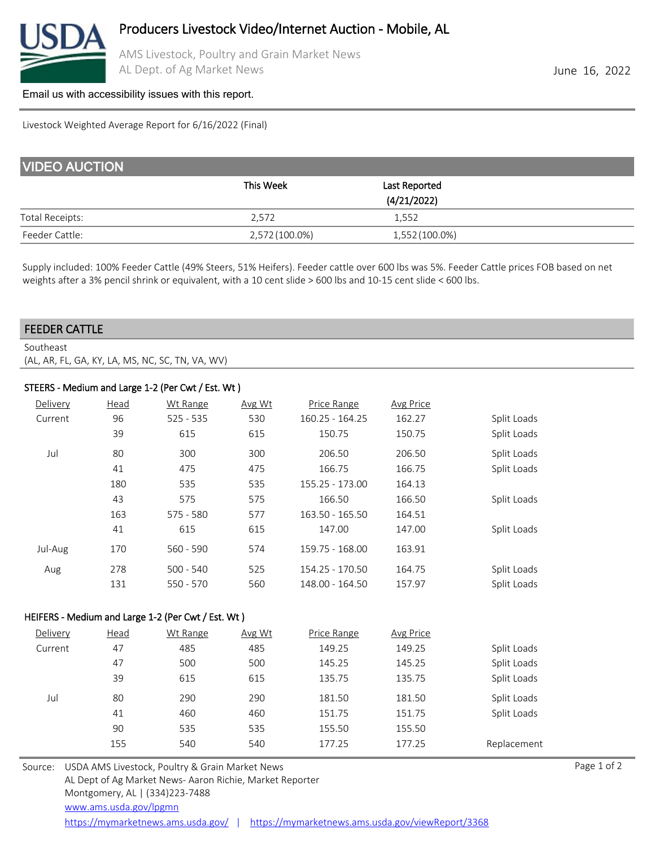

AMS Livestock, Poultry and Grain Market News AL Dept. of Ag Market News **June 16, 2022** 

### [Email us with accessibility issues with this report.](mailto:mars@ams.usda.gov?subjectNot%20able%20to%20access%20video%20auction%20report)

#### Livestock Weighted Average Report for 6/16/2022 (Final)

| <b>VIDEO AUCTION</b>   |                |                              |  |  |  |  |
|------------------------|----------------|------------------------------|--|--|--|--|
|                        | This Week      | Last Reported<br>(4/21/2022) |  |  |  |  |
| <b>Total Receipts:</b> | 2.572          | 1,552                        |  |  |  |  |
| Feeder Cattle:         | 2,572 (100.0%) | 1,552 (100.0%)               |  |  |  |  |

Supply included: 100% Feeder Cattle (49% Steers, 51% Heifers). Feeder cattle over 600 lbs was 5%. Feeder Cattle prices FOB based on net weights after a 3% pencil shrink or equivalent, with a 10 cent slide > 600 lbs and 10-15 cent slide < 600 lbs.

### FEEDER CATTLE

Southeast (AL, AR, FL, GA, KY, LA, MS, NC, SC, TN, VA, WV)

## STEERS - Medium and Large 1-2 (Per Cwt / Est. Wt )

| Delivery | Head | Wt Range    | Avg Wt | Price Range     | Avg Price |             |
|----------|------|-------------|--------|-----------------|-----------|-------------|
| Current  | 96   | $525 - 535$ | 530    | 160.25 - 164.25 | 162.27    | Split Loads |
|          | 39   | 615         | 615    | 150.75          | 150.75    | Split Loads |
| Jul      | 80   | 300         | 300    | 206.50          | 206.50    | Split Loads |
|          | 41   | 475         | 475    | 166.75          | 166.75    | Split Loads |
|          | 180  | 535         | 535    | 155.25 - 173.00 | 164.13    |             |
|          | 43   | 575         | 575    | 166.50          | 166.50    | Split Loads |
|          | 163  | $575 - 580$ | 577    | 163.50 - 165.50 | 164.51    |             |
|          | 41   | 615         | 615    | 147.00          | 147.00    | Split Loads |
| Jul-Aug  | 170  | $560 - 590$ | 574    | 159.75 - 168.00 | 163.91    |             |
| Aug      | 278  | $500 - 540$ | 525    | 154.25 - 170.50 | 164.75    | Split Loads |
|          | 131  | $550 - 570$ | 560    | 148.00 - 164.50 | 157.97    | Split Loads |

## HEIFERS - Medium and Large 1-2 (Per Cwt / Est. Wt )

| Delivery | Head | Wt Range | Avg Wt | Price Range | Avg Price |             |
|----------|------|----------|--------|-------------|-----------|-------------|
| Current  | 47   | 485      | 485    | 149.25      | 149.25    | Split Loads |
|          | 47   | 500      | 500    | 145.25      | 145.25    | Split Loads |
|          | 39   | 615      | 615    | 135.75      | 135.75    | Split Loads |
| Jul      | 80   | 290      | 290    | 181.50      | 181.50    | Split Loads |
|          | 41   | 460      | 460    | 151.75      | 151.75    | Split Loads |
|          | 90   | 535      | 535    | 155.50      | 155.50    |             |
|          | 155  | 540      | 540    | 177.25      | 177.25    | Replacement |